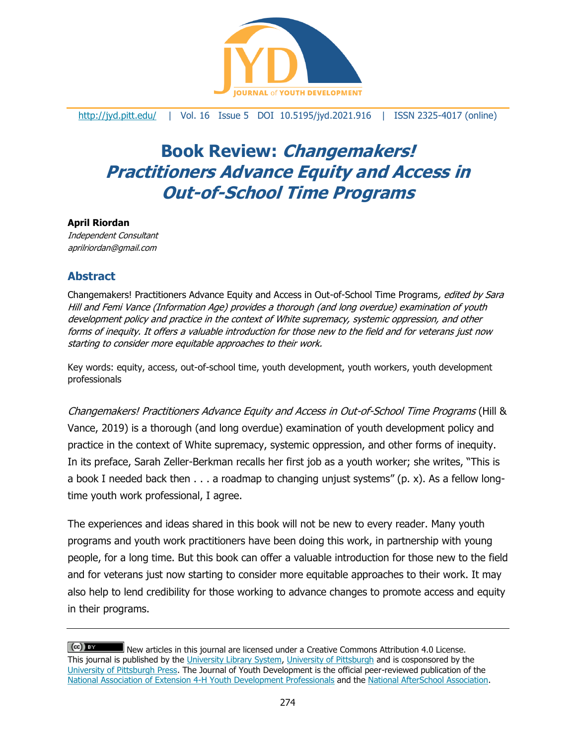

### <http://jyd.pitt.edu/> | Vol. 16 Issue 5 DOI 10.5195/jyd.2021.916 | ISSN 2325-4017 (online)

# **Book Review: Changemakers! Practitioners Advance Equity and Access in Out-of-School Time Programs**

#### **April Riordan**

Independent Consultant aprilriordan@gmail.com

## **Abstract**

Changemakers! Practitioners Advance Equity and Access in Out-of-School Time Programs, edited by Sara Hill and Femi Vance (Information Age) provides a thorough (and long overdue) examination of youth development policy and practice in the context of White supremacy, systemic oppression, and other forms of inequity. It offers a valuable introduction for those new to the field and for veterans just now starting to consider more equitable approaches to their work.

Key words: equity, access, out-of-school time, youth development, youth workers, youth development professionals

Changemakers! Practitioners Advance Equity and Access in Out-of-School Time Programs (Hill & Vance, 2019) is a thorough (and long overdue) examination of youth development policy and practice in the context of White supremacy, systemic oppression, and other forms of inequity. In its preface, Sarah Zeller-Berkman recalls her first job as a youth worker; she writes, "This is a book I needed back then . . . a roadmap to changing unjust systems" (p. x). As a fellow longtime youth work professional, I agree.

The experiences and ideas shared in this book will not be new to every reader. Many youth programs and youth work practitioners have been doing this work, in partnership with young people, for a long time. But this book can offer a valuable introduction for those new to the field and for veterans just now starting to consider more equitable approaches to their work. It may also help to lend credibility for those working to advance changes to promote access and equity in their programs.

 $(cc)$  BY New articles in this journal are licensed under a Creative Commons Attribution 4.0 License. This journal is published by the [University Library System,](http://www.library.pitt.edu/) [University of Pittsburgh](http://www.pitt.edu/) and is cosponsored by the [University of Pittsburgh Press.](http://www.upress.pitt.edu/upressIndex.aspx) The Journal of Youth Development is the official peer-reviewed publication of the [National Association of Extension 4-H Youth Development Professionals](http://www.nae4ha.com/) and the [National AfterSchool Association.](http://naaweb.org/)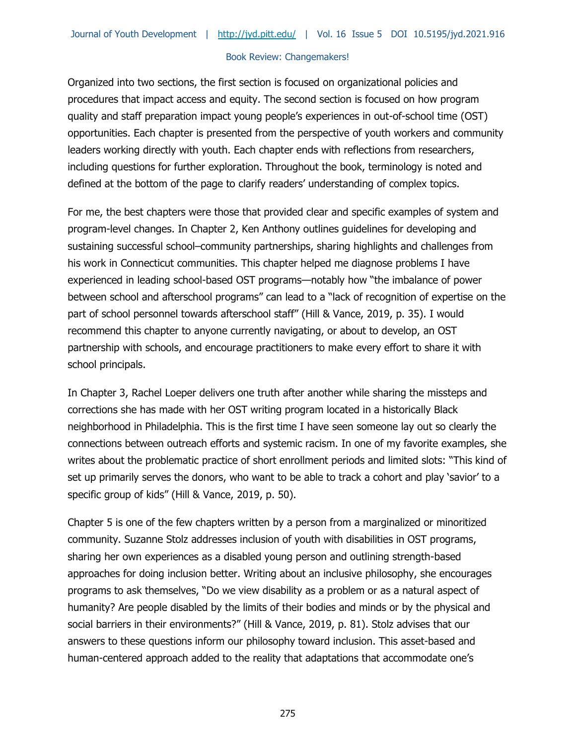Organized into two sections, the first section is focused on organizational policies and procedures that impact access and equity. The second section is focused on how program quality and staff preparation impact young people's experiences in out-of-school time (OST) opportunities. Each chapter is presented from the perspective of youth workers and community leaders working directly with youth. Each chapter ends with reflections from researchers, including questions for further exploration. Throughout the book, terminology is noted and defined at the bottom of the page to clarify readers' understanding of complex topics.

For me, the best chapters were those that provided clear and specific examples of system and program-level changes. In Chapter 2, Ken Anthony outlines guidelines for developing and sustaining successful school–community partnerships, sharing highlights and challenges from his work in Connecticut communities. This chapter helped me diagnose problems I have experienced in leading school-based OST programs—notably how "the imbalance of power between school and afterschool programs" can lead to a "lack of recognition of expertise on the part of school personnel towards afterschool staff" (Hill & Vance, 2019, p. 35). I would recommend this chapter to anyone currently navigating, or about to develop, an OST partnership with schools, and encourage practitioners to make every effort to share it with school principals.

In Chapter 3, Rachel Loeper delivers one truth after another while sharing the missteps and corrections she has made with her OST writing program located in a historically Black neighborhood in Philadelphia. This is the first time I have seen someone lay out so clearly the connections between outreach efforts and systemic racism. In one of my favorite examples, she writes about the problematic practice of short enrollment periods and limited slots: "This kind of set up primarily serves the donors, who want to be able to track a cohort and play 'savior' to a specific group of kids" (Hill & Vance, 2019, p. 50).

Chapter 5 is one of the few chapters written by a person from a marginalized or minoritized community. Suzanne Stolz addresses inclusion of youth with disabilities in OST programs, sharing her own experiences as a disabled young person and outlining strength-based approaches for doing inclusion better. Writing about an inclusive philosophy, she encourages programs to ask themselves, "Do we view disability as a problem or as a natural aspect of humanity? Are people disabled by the limits of their bodies and minds or by the physical and social barriers in their environments?" (Hill & Vance, 2019, p. 81). Stolz advises that our answers to these questions inform our philosophy toward inclusion. This asset-based and human-centered approach added to the reality that adaptations that accommodate one's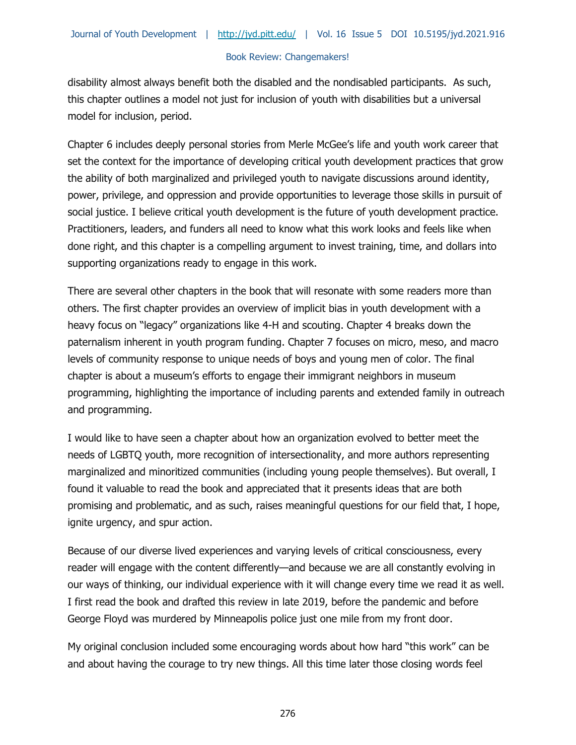disability almost always benefit both the disabled and the nondisabled participants. As such, this chapter outlines a model not just for inclusion of youth with disabilities but a universal model for inclusion, period.

Chapter 6 includes deeply personal stories from Merle McGee's life and youth work career that set the context for the importance of developing critical youth development practices that grow the ability of both marginalized and privileged youth to navigate discussions around identity, power, privilege, and oppression and provide opportunities to leverage those skills in pursuit of social justice. I believe critical youth development is the future of youth development practice. Practitioners, leaders, and funders all need to know what this work looks and feels like when done right, and this chapter is a compelling argument to invest training, time, and dollars into supporting organizations ready to engage in this work.

There are several other chapters in the book that will resonate with some readers more than others. The first chapter provides an overview of implicit bias in youth development with a heavy focus on "legacy" organizations like 4-H and scouting. Chapter 4 breaks down the paternalism inherent in youth program funding. Chapter 7 focuses on micro, meso, and macro levels of community response to unique needs of boys and young men of color. The final chapter is about a museum's efforts to engage their immigrant neighbors in museum programming, highlighting the importance of including parents and extended family in outreach and programming.

I would like to have seen a chapter about how an organization evolved to better meet the needs of LGBTQ youth, more recognition of intersectionality, and more authors representing marginalized and minoritized communities (including young people themselves). But overall, I found it valuable to read the book and appreciated that it presents ideas that are both promising and problematic, and as such, raises meaningful questions for our field that, I hope, ignite urgency, and spur action.

Because of our diverse lived experiences and varying levels of critical consciousness, every reader will engage with the content differently—and because we are all constantly evolving in our ways of thinking, our individual experience with it will change every time we read it as well. I first read the book and drafted this review in late 2019, before the pandemic and before George Floyd was murdered by Minneapolis police just one mile from my front door.

My original conclusion included some encouraging words about how hard "this work" can be and about having the courage to try new things. All this time later those closing words feel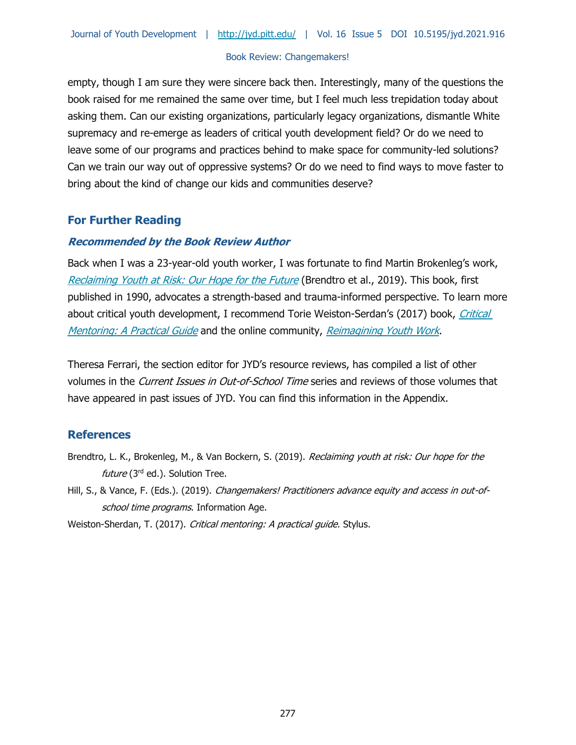empty, though I am sure they were sincere back then. Interestingly, many of the questions the book raised for me remained the same over time, but I feel much less trepidation today about asking them. Can our existing organizations, particularly legacy organizations, dismantle White supremacy and re-emerge as leaders of critical youth development field? Or do we need to leave some of our programs and practices behind to make space for community-led solutions? Can we train our way out of oppressive systems? Or do we need to find ways to move faster to bring about the kind of change our kids and communities deserve?

# **For Further Reading**

## **Recommended by the Book Review Author**

Back when I was a 23-year-old youth worker, I was fortunate to find Martin Brokenleg's work, [Reclaiming Youth at Risk: Our Hope for the Future](https://reclaimingyouthatrisk.org/) (Brendtro et al., 2019). This book, first published in 1990, advocates a strength-based and trauma-informed perspective. To learn more about critical youth development, I recommend Torie Weiston-Serdan's (2017) book, Critical [Mentoring: A Practical Guide](https://www.amazon.com/Critical-Mentoring-Practical-Torie-Weiston-Serdan/dp/1620365529) and the online community, [Reimagining Youth Work](https://community.criticalmentoring.org/landing).

Theresa Ferrari, the section editor for JYD's resource reviews, has compiled a list of other volumes in the Current Issues in Out-of-School Time series and reviews of those volumes that have appeared in past issues of JYD. You can find this information in the Appendix.

# **References**

- Brendtro, L. K., Brokenleg, M., & Van Bockern, S. (2019). Reclaiming youth at risk: Our hope for the future ( $3<sup>rd</sup>$  ed.). Solution Tree.
- Hill, S., & Vance, F. (Eds.). (2019). Changemakers! Practitioners advance equity and access in out-ofschool time programs. Information Age.

Weiston-Sherdan, T. (2017). Critical mentoring: A practical guide. Stylus.